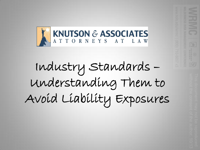

Industry Standards – Understanding Them to Avoid Liability Exposures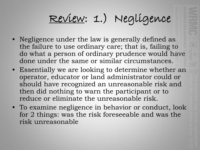# Review: 1.) Negligence

- Negligence under the law is generally defined as the failure to use ordinary care; that is, failing to do what a person of ordinary prudence would have done under the same or similar circumstances.
- Essentially we are looking to determine whether an operator, educator or land administrator could or should have recognized an unreasonable risk and then did nothing to warn the participant or to reduce or eliminate the unreasonable risk.
- To examine negligence in behavior or conduct, look for 2 things: was the risk foreseeable and was the risk unreasonable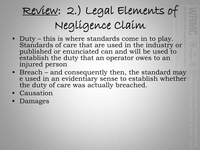# Review: 2.) Legal Elements of Negligence Claim

- Duty this is where standards come in to play. Standards of care that are used in the industry or published or enunciated can and will be used to establish the duty that an operator owes to an injured person
- Breach and consequently then, the standard may e used in an evidentiary sense to establish whether the duty of care was actually breached.
- Causation
- Damages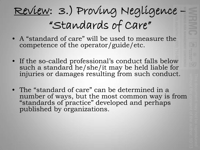## Review: 3.) Proving Negligence "Standards of Care"

- A "standard of care" will be used to measure the competence of the operator/guide/etc.
- If the so-called professional's conduct falls below such a standard he/she/it may be held liable for injuries or damages resulting from such conduct.
- The "standard of care" can be determined in a number of ways, but the most common way is from "standards of practice" developed and perhaps published by organizations.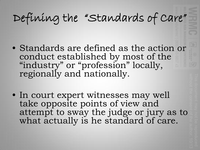## Defining the "Standards of Care"

- Standards are defined as the action or conduct established by most of the "industry" or "profession" locally, regionally and nationally.
- In court expert witnesses may well take opposite points of view and attempt to sway the judge or jury as to what actually is he standard of care.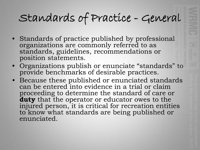#### Standards of Practice - General

- Standards of practice published by professional organizations are commonly referred to as standards, guidelines, recommendations or position statements.
- Organizations publish or enunciate "standards" to provide benchmarks of desirable practices.
- Because these published or enunciated standards can be entered into evidence in a trial or claim proceeding to determine the standard of care or **duty** that the operator or educator owes to the injured person, it is critical for recreation entities to know what standards are being published or enunciated.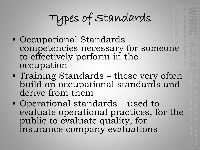Types of Standards

- Occupational Standards competencies necessary for someone to effectively perform in the occupation
- Training Standards these very often build on occupational standards and derive from them
- Operational standards used to evaluate operational practices, for the public to evaluate quality, for insurance company evaluations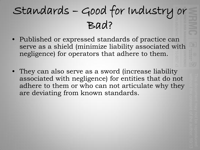### Standards – Good for Industry or Bad?

- Published or expressed standards of practice can serve as a shield (minimize liability associated with negligence) for operators that adhere to them.
- They can also serve as a sword (increase liability associated with negligence) for entities that do not adhere to them or who can not articulate why they are deviating from known standards.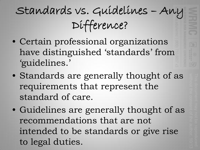# Standards vs. Guidelines – Any Difference?

- Certain professional organizations have distinguished 'standards' from 'guidelines.'
- Standards are generally thought of as requirements that represent the standard of care.
- Guidelines are generally thought of as recommendations that are not intended to be standards or give rise to legal duties.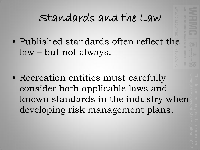#### Standards and the Law

• Published standards often reflect the law – but not always.

• Recreation entities must carefully consider both applicable laws and known standards in the industry when developing risk management plans.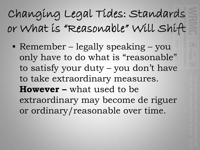# Changing Legal Tides: Standards or What is "Reasonable" Will Shift

• Remember – legally speaking – you only have to do what is "reasonable" to satisfy your duty – you don't have to take extraordinary measures. **However –** what used to be extraordinary may become de riguer or ordinary/reasonable over time.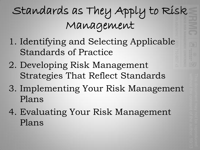# Standards as They Apply to Risk Management

- 1. Identifying and Selecting Applicable Standards of Practice
- 2. Developing Risk Management Strategies That Reflect Standards
- 3. Implementing Your Risk Management Plans
- 4. Evaluating Your Risk Management Plans